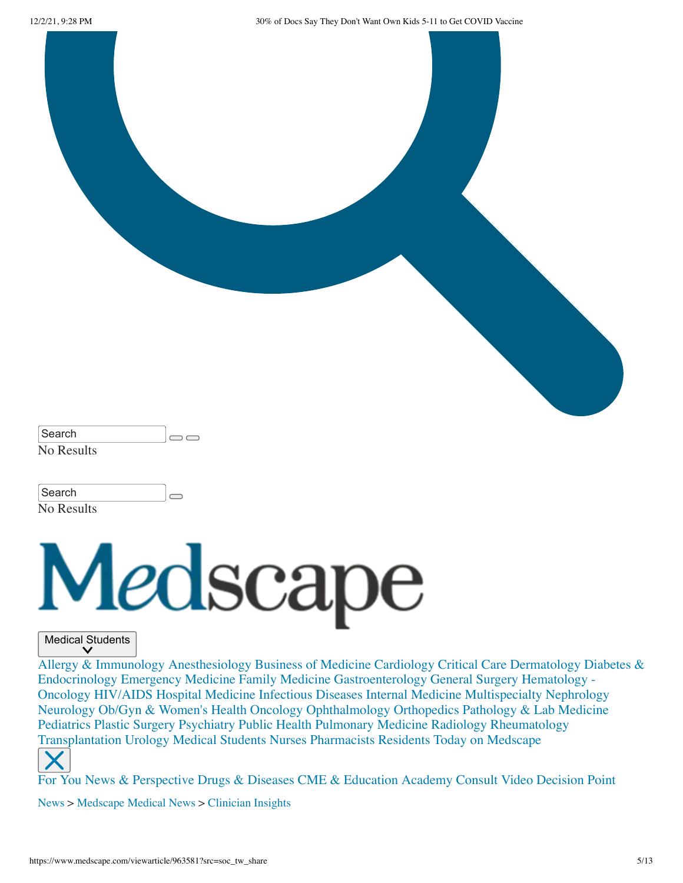12/2/21, 9:28 PM 30% of Docs Say They Don't Want Own Kids 5-11 to Get COVID Vaccine



| ∣Search    |  |
|------------|--|
| No Results |  |

| Search     |  |
|------------|--|
| No Results |  |



#### Medical Students

[Allergy & Immunology](https://www.medscape.com/diabetes-endocrinology) [Anesthesiology](https://www.medscape.com/anesthesiology) [Business of Medicine](https://www.medscape.com/businessmedicine) [Cardiology](https://www.medscape.com/cardiology) [Critical Care](https://www.medscape.com/criticalcare) [Dermatology](https://www.medscape.com/dermatology) Diabetes & Endocrinology [Emergency Medicin](https://www.medscape.com/emergencymedicine)[e](https://www.medscape.com/oncology) [Family Medicine](https://www.medscape.com/familymedicine) [Gastroenterology](https://www.medscape.com/gastroenterology) [General Surgery](https://www.medscape.com/generalsurgery) Hematology - Oncology [HIV/AIDS](https://www.medscape.com/hiv) [Hospital Medicine](https://www.medscape.com/hospitalmedicine) [Infectious Diseases](https://www.medscape.com/infectiousdiseases) [Internal Medicine](https://www.medscape.com/internalmedicine) [Multispecialty](https://www.medscape.com/multispecialty) [Nephrology](https://www.medscape.com/nephrology) [Neurology](https://www.medscape.com/neurology) [Ob/Gyn & Women's Health](https://www.medscape.com/womenshealth) [Oncology](https://www.medscape.com/oncology) [Ophthalmology](https://www.medscape.com/ophthalmology) [Orthopedics](https://www.medscape.com/orthopedics) [Pathology & Lab Medicine](https://www.medscape.com/pathology) [Pediatrics](https://www.medscape.com/pediatrics) [Plastic Surgery](https://www.medscape.com/plastic-surgery) [Psychiatry](https://www.medscape.com/psychiatry) [Public Health](https://www.medscape.com/publichealth) [Pulmonary Medicine](https://www.medscape.com/pulmonarymedicine) [Radiology](https://www.medscape.com/radiology) [Rheumatology](https://www.medscape.com/rheumatology) [Transplantation](https://www.medscape.com/transplantation) [Urology](https://www.medscape.com/urology) [Medical Students](https://www.medscape.com/medicalstudents) [Nurses](https://www.medscape.com/nurses) [Pharmacists](https://www.medscape.com/pharmacists) [Residents](https://www.medscape.com/resource/public/residents) [Today on Medscape](https://www.medscape.com/today)



[For You](https://www.medscape.com/for-you) [News & Perspective](https://www.medscape.com/) [Drugs & Diseases](https://reference.medscape.com/) [CME & Education](https://www.medscape.org/) [Academy](https://www.medscape.com/academy/business) [Consult](https://www.medscape.com/consult) [Video](https://www.medscape.com/video) [Decision Point](https://decisionpoint.medscape.com/)

[News](https://www.medscape.com/index/list_12021_0) > [Medscape Medical News](https://www.medscape.com/index/list_11861_0) > [Clinician Insights](https://www.medscape.com/index/section_10430_0)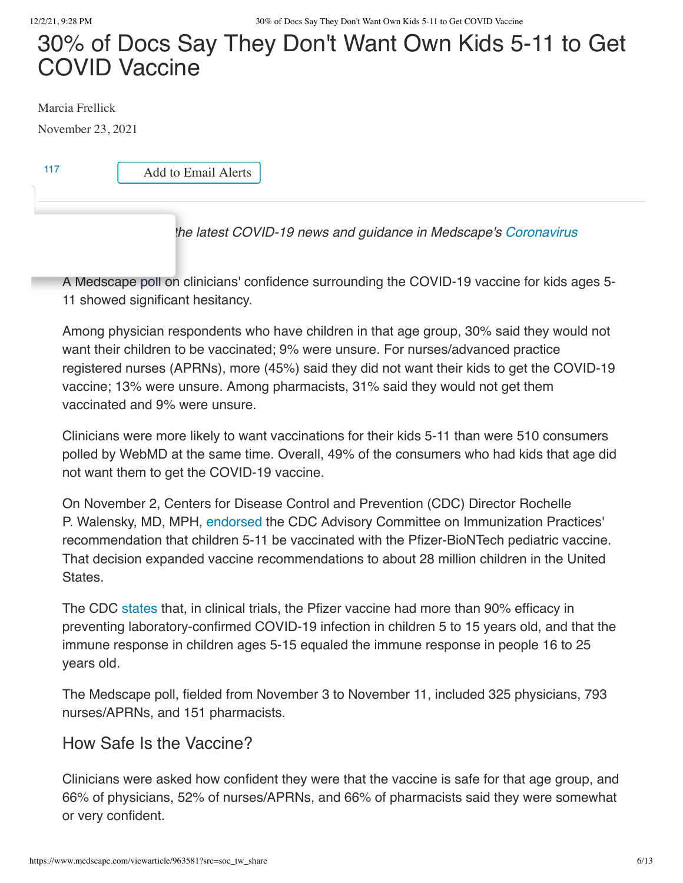# 30% of Docs Say They Don't Want Own Kids 5-11 to Get COVID Vaccine

Marcia Frellick

November 23, 2021

[117](javascript:initComments()) | Add to Email Alerts

### *[Editor's note: Find the latest COVID-19 news and guidance in Medscape's Coronavirus](https://www.medscape.com/resource/coronavirus)*

A Medscape [poll](https://www.medscape.com/viewarticle/962173) on clinicians' confidence surrounding the COVID-19 vaccine for kids ages 5- 11 showed significant hesitancy.

Among physician respondents who have children in that age group, 30% said they would not want their children to be vaccinated; 9% were unsure. For nurses/advanced practice registered nurses (APRNs), more (45%) said they did not want their kids to get the COVID-19 vaccine; 13% were unsure. Among pharmacists, 31% said they would not get them vaccinated and 9% were unsure.

Clinicians were more likely to want vaccinations for their kids 5-11 than were 510 consumers polled by WebMD at the same time. Overall, 49% of the consumers who had kids that age did not want them to get the COVID-19 vaccine.

On November 2, Centers for Disease Control and Prevention (CDC) Director Rochelle P. Walensky, MD, MPH, [endorsed](https://www.cdc.gov/media/releases/2021/s1102-PediatricCOVID-19Vaccine.html) the CDC Advisory Committee on Immunization Practices' recommendation that children 5-11 be vaccinated with the Pfizer-BioNTech pediatric vaccine. That decision expanded vaccine recommendations to about 28 million children in the United States.

The CDC [states](https://www.cdc.gov/coronavirus/2019-ncov/vaccines/different-vaccines/Pfizer-BioNTech.html) that, in clinical trials, the Pfizer vaccine had more than 90% efficacy in preventing laboratory-confirmed COVID-19 infection in children 5 to 15 years old, and that the immune response in children ages 5-15 equaled the immune response in people 16 to 25 years old.

The Medscape poll, fielded from November 3 to November 11, included 325 physicians, 793 nurses/APRNs, and 151 pharmacists.

### How Safe Is the Vaccine?

Clinicians were asked how confident they were that the vaccine is safe for that age group, and 66% of physicians, 52% of nurses/APRNs, and 66% of pharmacists said they were somewhat or very confident.